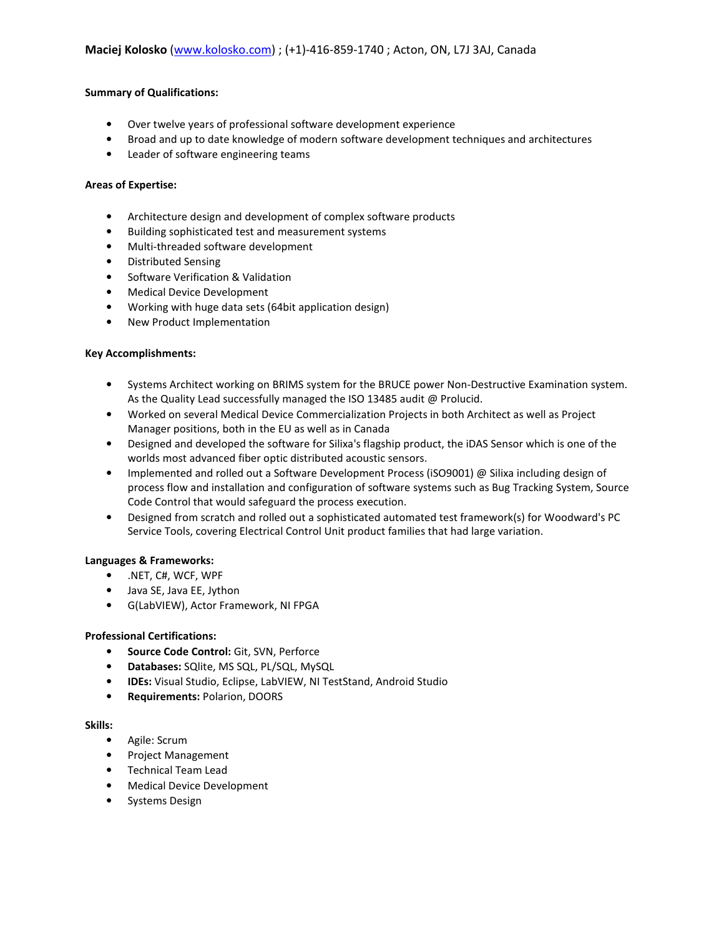## **Summary of Qualifications:**

- Over twelve years of professional software development experience
- Broad and up to date knowledge of modern software development techniques and architectures
- Leader of software engineering teams

## **Areas of Expertise:**

- Architecture design and development of complex software products
- Building sophisticated test and measurement systems
- Multi-threaded software development
- Distributed Sensing
- Software Verification & Validation
- Medical Device Development
- Working with huge data sets (64bit application design)
- New Product Implementation

## **Key Accomplishments:**

- Systems Architect working on BRIMS system for the BRUCE power Non-Destructive Examination system. As the Quality Lead successfully managed the ISO 13485 audit @ Prolucid.
- Worked on several Medical Device Commercialization Projects in both Architect as well as Project Manager positions, both in the EU as well as in Canada
- Designed and developed the software for Silixa's flagship product, the iDAS Sensor which is one of the worlds most advanced fiber optic distributed acoustic sensors.
- Implemented and rolled out a Software Development Process (iSO9001) @ Silixa including design of process flow and installation and configuration of software systems such as Bug Tracking System, Source Code Control that would safeguard the process execution.
- Designed from scratch and rolled out a sophisticated automated test framework(s) for Woodward's PC Service Tools, covering Electrical Control Unit product families that had large variation.

# **Languages & Frameworks:**

- .NET, C#, WCF, WPF
- Java SE, Java EE, Jython
- G(LabVIEW), Actor Framework, NI FPGA

# **Professional Certifications:**

- **Source Code Control:** Git, SVN, Perforce
- **Databases:** SQlite, MS SQL, PL/SQL, MySQL
- **IDEs:** Visual Studio, Eclipse, LabVIEW, NI TestStand, Android Studio
- **Requirements:** Polarion, DOORS

### **Skills:**

- Agile: Scrum
- Project Management
- Technical Team Lead
- Medical Device Development
- Systems Design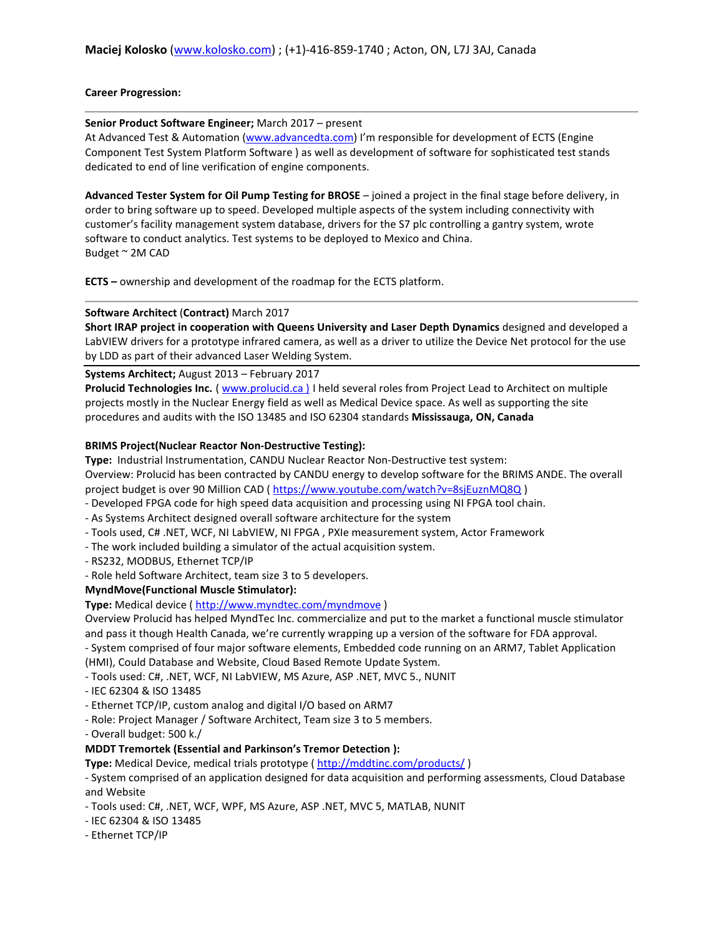## **Career Progression:**

### **Senior Product Software Engineer;** March 2017 – present

At Advanced Test & Automation (www.advancedta.com) I'm responsible for development of ECTS (Engine Component Test System Platform Software ) as well as development of software for sophisticated test stands dedicated to end of line verification of engine components.

**Advanced Tester System for Oil Pump Testing for BROSE** – joined a project in the final stage before delivery, in order to bring software up to speed. Developed multiple aspects of the system including connectivity with customer's facility management system database, drivers for the S7 plc controlling a gantry system, wrote software to conduct analytics. Test systems to be deployed to Mexico and China. Budget ~ 2M CAD

**ECTS –** ownership and development of the roadmap for the ECTS platform.

# **Software Architect** (**Contract)** March 2017

**Short IRAP project in cooperation with Queens University and Laser Depth Dynamics** designed and developed a LabVIEW drivers for a prototype infrared camera, as well as a driver to utilize the Device Net protocol for the use by LDD as part of their advanced Laser Welding System.

**Systems Architect;** August 2013 – February 2017

**Prolucid Technologies Inc.** ( www.prolucid.ca ) I held several roles from Project Lead to Architect on multiple projects mostly in the Nuclear Energy field as well as Medical Device space. As well as supporting the site procedures and audits with the ISO 13485 and ISO 62304 standards **Mississauga, ON, Canada** 

## **BRIMS Project(Nuclear Reactor Non-Destructive Testing):**

**Type:** Industrial Instrumentation, CANDU Nuclear Reactor Non-Destructive test system:

Overview: Prolucid has been contracted by CANDU energy to develop software for the BRIMS ANDE. The overall project budget is over 90 Million CAD ( https://www.youtube.com/watch?v=8sjEuznMQ8Q )

- Developed FPGA code for high speed data acquisition and processing using NI FPGA tool chain.

- As Systems Architect designed overall software architecture for the system
- Tools used, C# .NET, WCF, NI LabVIEW, NI FPGA , PXIe measurement system, Actor Framework
- The work included building a simulator of the actual acquisition system.
- RS232, MODBUS, Ethernet TCP/IP
- Role held Software Architect, team size 3 to 5 developers.

# **MyndMove(Functional Muscle Stimulator):**

**Type:** Medical device ( http://www.myndtec.com/myndmove )

Overview Prolucid has helped MyndTec Inc. commercialize and put to the market a functional muscle stimulator and pass it though Health Canada, we're currently wrapping up a version of the software for FDA approval.

- System comprised of four major software elements, Embedded code running on an ARM7, Tablet Application (HMI), Could Database and Website, Cloud Based Remote Update System.
- Tools used: C#, .NET, WCF, NI LabVIEW, MS Azure, ASP .NET, MVC 5., NUNIT
- IEC 62304 & ISO 13485
- Ethernet TCP/IP, custom analog and digital I/O based on ARM7
- Role: Project Manager / Software Architect, Team size 3 to 5 members.
- Overall budget: 500 k./

# **MDDT Tremortek (Essential and Parkinson's Tremor Detection ):**

**Type:** Medical Device, medical trials prototype ( http://mddtinc.com/products/ )

- System comprised of an application designed for data acquisition and performing assessments, Cloud Database and Website

- Tools used: C#, .NET, WCF, WPF, MS Azure, ASP .NET, MVC 5, MATLAB, NUNIT
- IEC 62304 & ISO 13485
- Ethernet TCP/IP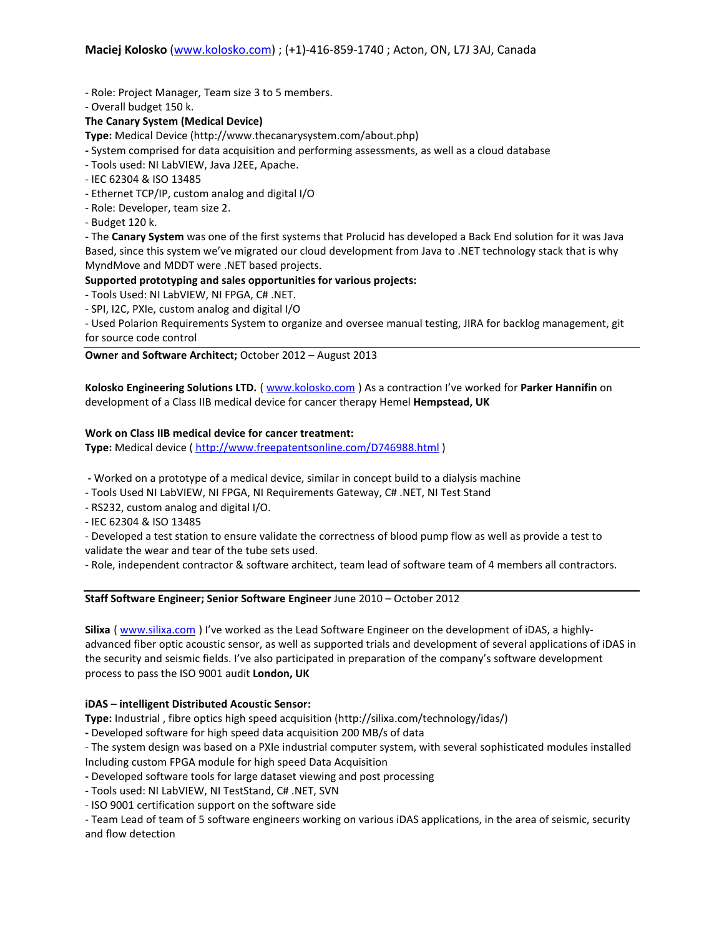- Role: Project Manager, Team size 3 to 5 members.

- Overall budget 150 k.

## **The Canary System (Medical Device)**

**Type:** Medical Device (http://www.thecanarysystem.com/about.php)

- System comprised for data acquisition and performing assessments, as well as a cloud database
- Tools used: NI LabVIEW, Java J2EE, Apache.
- IEC 62304 & ISO 13485
- Ethernet TCP/IP, custom analog and digital I/O
- Role: Developer, team size 2.
- Budget 120 k.

- The **Canary System** was one of the first systems that Prolucid has developed a Back End solution for it was Java Based, since this system we've migrated our cloud development from Java to .NET technology stack that is why MyndMove and MDDT were .NET based projects.

# **Supported prototyping and sales opportunities for various projects:**

- Tools Used: NI LabVIEW, NI FPGA, C# .NET.
- SPI, I2C, PXIe, custom analog and digital I/O

- Used Polarion Requirements System to organize and oversee manual testing, JIRA for backlog management, git for source code control

**Owner and Software Architect;** October 2012 – August 2013

**Kolosko Engineering Solutions LTD.** ( www.kolosko.com ) As a contraction I've worked for **Parker Hannifin** on development of a Class IIB medical device for cancer therapy Hemel **Hempstead, UK** 

### **Work on Class IIB medical device for cancer treatment:**

**Type:** Medical device ( http://www.freepatentsonline.com/D746988.html )

- Worked on a prototype of a medical device, similar in concept build to a dialysis machine
- Tools Used NI LabVIEW, NI FPGA, NI Requirements Gateway, C# .NET, NI Test Stand
- RS232, custom analog and digital I/O.
- IEC 62304 & ISO 13485
- Developed a test station to ensure validate the correctness of blood pump flow as well as provide a test to validate the wear and tear of the tube sets used.

- Role, independent contractor & software architect, team lead of software team of 4 members all contractors.

**Staff Software Engineer; Senior Software Engineer** June 2010 – October 2012

**Silixa** ( www.silixa.com ) I've worked as the Lead Software Engineer on the development of iDAS, a highlyadvanced fiber optic acoustic sensor, as well as supported trials and development of several applications of iDAS in the security and seismic fields. I've also participated in preparation of the company's software development process to pass the ISO 9001 audit **London, UK** 

### **iDAS – intelligent Distributed Acoustic Sensor:**

**Type:** Industrial , fibre optics high speed acquisition (http://silixa.com/technology/idas/)

**-** Developed software for high speed data acquisition 200 MB/s of data

- The system design was based on a PXIe industrial computer system, with several sophisticated modules installed

Including custom FPGA module for high speed Data Acquisition

**-** Developed software tools for large dataset viewing and post processing

- Tools used: NI LabVIEW, NI TestStand, C# .NET, SVN

- ISO 9001 certification support on the software side

- Team Lead of team of 5 software engineers working on various iDAS applications, in the area of seismic, security and flow detection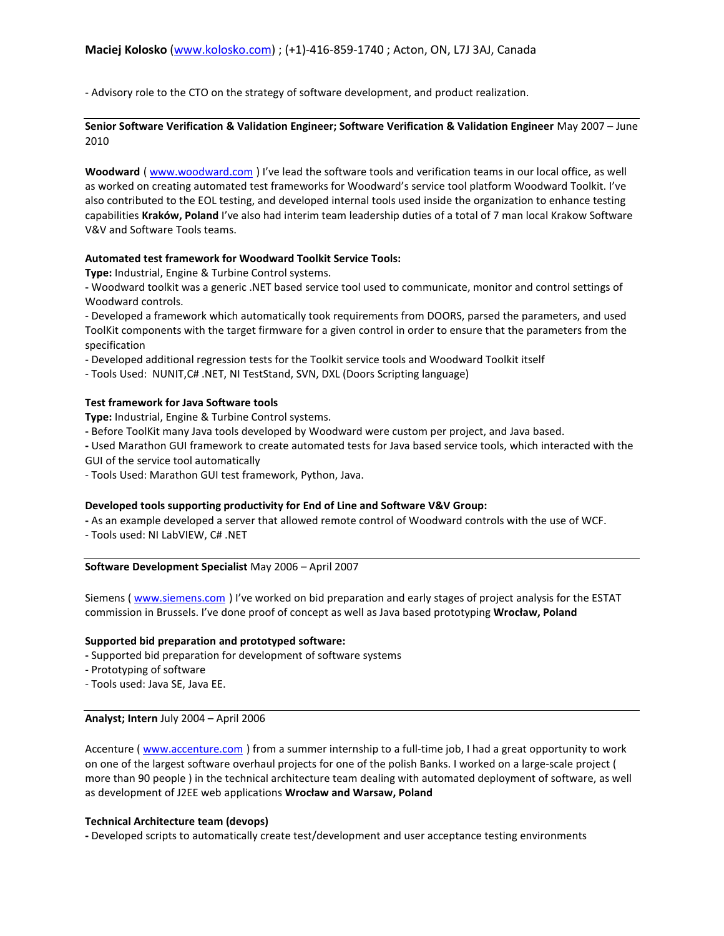- Advisory role to the CTO on the strategy of software development, and product realization.

**Senior Software Verification & Validation Engineer; Software Verification & Validation Engineer** May 2007 – June 2010

**Woodward** ( www.woodward.com ) I've lead the software tools and verification teams in our local office, as well as worked on creating automated test frameworks for Woodward's service tool platform Woodward Toolkit. I've also contributed to the EOL testing, and developed internal tools used inside the organization to enhance testing capabilities **Kraków, Poland** I've also had interim team leadership duties of a total of 7 man local Krakow Software V&V and Software Tools teams.

## **Automated test framework for Woodward Toolkit Service Tools:**

**Type:** Industrial, Engine & Turbine Control systems.

**-** Woodward toolkit was a generic .NET based service tool used to communicate, monitor and control settings of Woodward controls.

- Developed a framework which automatically took requirements from DOORS, parsed the parameters, and used ToolKit components with the target firmware for a given control in order to ensure that the parameters from the specification

- Developed additional regression tests for the Toolkit service tools and Woodward Toolkit itself

- Tools Used: NUNIT,C# .NET, NI TestStand, SVN, DXL (Doors Scripting language)

## **Test framework for Java Software tools**

**Type:** Industrial, Engine & Turbine Control systems.

**-** Before ToolKit many Java tools developed by Woodward were custom per project, and Java based.

**-** Used Marathon GUI framework to create automated tests for Java based service tools, which interacted with the GUI of the service tool automatically

- Tools Used: Marathon GUI test framework, Python, Java.

# **Developed tools supporting productivity for End of Line and Software V&V Group:**

**-** As an example developed a server that allowed remote control of Woodward controls with the use of WCF.

- Tools used: NI LabVIEW, C# .NET

**Software Development Specialist** May 2006 – April 2007

Siemens ( www.siemens.com ) I've worked on bid preparation and early stages of project analysis for the ESTAT commission in Brussels. I've done proof of concept as well as Java based prototyping **Wrocław, Poland** 

# **Supported bid preparation and prototyped software:**

**-** Supported bid preparation for development of software systems

- Prototyping of software

- Tools used: Java SE, Java EE.

### **Analyst; Intern** July 2004 – April 2006

Accenture ( www.accenture.com ) from a summer internship to a full-time job, I had a great opportunity to work on one of the largest software overhaul projects for one of the polish Banks. I worked on a large-scale project ( more than 90 people ) in the technical architecture team dealing with automated deployment of software, as well as development of J2EE web applications **Wrocław and Warsaw, Poland** 

# **Technical Architecture team (devops)**

**-** Developed scripts to automatically create test/development and user acceptance testing environments